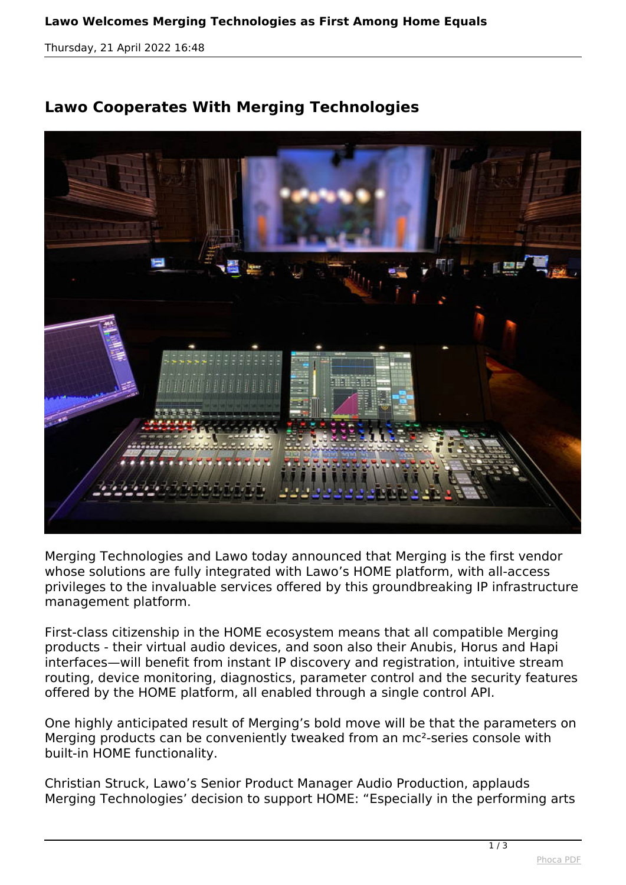## **Lawo Welcomes Merging Technologies as First Among Home Equals**

*Thursday, 21 April 2022 16:48*

## **Lawo Cooperates With Merging Technologies**



*Merging Technologies and Lawo today announced that Merging is the first vendor whose solutions are fully integrated with Lawo's HOME platform, with all-access privileges to the invaluable services offered by this groundbreaking IP infrastructure management platform.*

*First-class citizenship in the HOME ecosystem means that all compatible Merging products - their virtual audio devices, and soon also their Anubis, Horus and Hapi interfaces—will benefit from instant IP discovery and registration, intuitive stream routing, device monitoring, diagnostics, parameter control and the security features offered by the HOME platform, all enabled through a single control API.*

*One highly anticipated result of Merging's bold move will be that the parameters on Merging products can be conveniently tweaked from an mc²-series console with built-in HOME functionality.*

*Christian Struck, Lawo's Senior Product Manager Audio Production, applauds Merging Technologies' decision to support HOME: "Especially in the performing arts*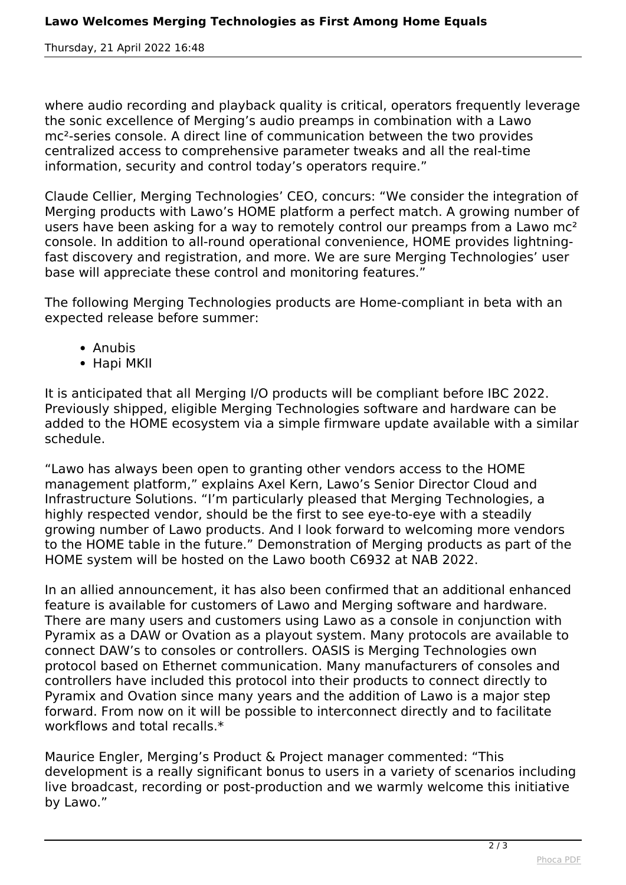*Thursday, 21 April 2022 16:48*

*where audio recording and playback quality is critical, operators frequently leverage the sonic excellence of Merging's audio preamps in combination with a Lawo mc²-series console. A direct line of communication between the two provides centralized access to comprehensive parameter tweaks and all the real-time information, security and control today's operators require."*

*Claude Cellier, Merging Technologies' CEO, concurs: "We consider the integration of Merging products with Lawo's HOME platform a perfect match. A growing number of users have been asking for a way to remotely control our preamps from a Lawo mc² console. In addition to all-round operational convenience, HOME provides lightningfast discovery and registration, and more. We are sure Merging Technologies' user base will appreciate these control and monitoring features."*

*The following Merging Technologies products are Home-compliant in beta with an expected release before summer:*

- *Anubis*
- *Hapi MKII*

*It is anticipated that all Merging I/O products will be compliant before IBC 2022. Previously shipped, eligible Merging Technologies software and hardware can be added to the HOME ecosystem via a simple firmware update available with a similar schedule.*

*"Lawo has always been open to granting other vendors access to the HOME management platform," explains Axel Kern, Lawo's Senior Director Cloud and Infrastructure Solutions. "I'm particularly pleased that Merging Technologies, a highly respected vendor, should be the first to see eye-to-eye with a steadily growing number of Lawo products. And I look forward to welcoming more vendors to the HOME table in the future." Demonstration of Merging products as part of the HOME system will be hosted on the Lawo booth C6932 at NAB 2022.*

*In an allied announcement, it has also been confirmed that an additional enhanced feature is available for customers of Lawo and Merging software and hardware. There are many users and customers using Lawo as a console in conjunction with Pyramix as a DAW or Ovation as a playout system. Many protocols are available to connect DAW's to consoles or controllers. OASIS is Merging Technologies own protocol based on Ethernet communication. Many manufacturers of consoles and controllers have included this protocol into their products to connect directly to Pyramix and Ovation since many years and the addition of Lawo is a major step forward. From now on it will be possible to interconnect directly and to facilitate workflows and total recalls.\**

*Maurice Engler, Merging's Product & Project manager commented: "This development is a really significant bonus to users in a variety of scenarios including live broadcast, recording or post-production and we warmly welcome this initiative by Lawo."*